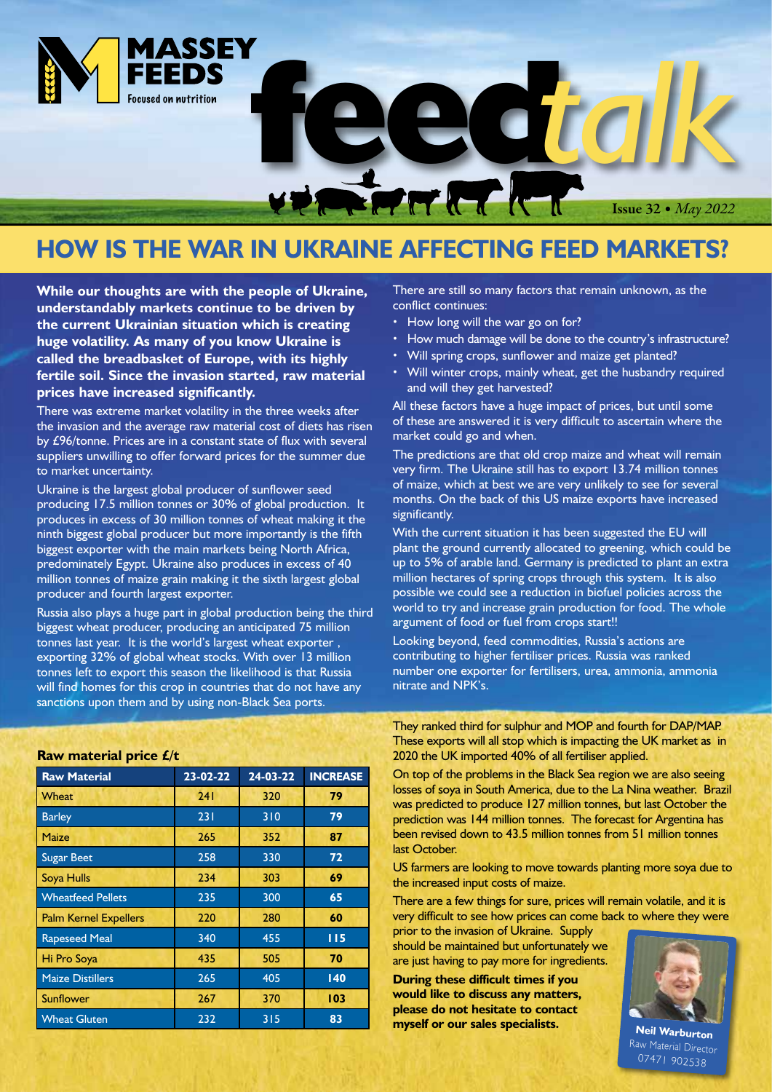

### **HOW IS THE WAR IN UKRAINE AFFECTING FEED MARKETS?**

**While our thoughts are with the people of Ukraine, understandably markets continue to be driven by the current Ukrainian situation which is creating huge volatility. As many of you know Ukraine is called the breadbasket of Europe, with its highly fertile soil. Since the invasion started, raw material prices have increased significantly.** 

There was extreme market volatility in the three weeks after the invasion and the average raw material cost of diets has risen by £96/tonne. Prices are in a constant state of flux with several suppliers unwilling to offer forward prices for the summer due to market uncertainty.

Ukraine is the largest global producer of sunflower seed producing 17.5 million tonnes or 30% of global production. It produces in excess of 30 million tonnes of wheat making it the ninth biggest global producer but more importantly is the fifth biggest exporter with the main markets being North Africa, predominately Egypt. Ukraine also produces in excess of 40 million tonnes of maize grain making it the sixth largest global producer and fourth largest exporter.

Russia also plays a huge part in global production being the third biggest wheat producer, producing an anticipated 75 million tonnes last year. It is the world's largest wheat exporter , exporting 32% of global wheat stocks. With over 13 million tonnes left to export this season the likelihood is that Russia will find homes for this crop in countries that do not have any sanctions upon them and by using non-Black Sea ports.

There are still so many factors that remain unknown, as the conflict continues:

- How long will the war go on for?
- How much damage will be done to the country's infrastructure?
- Will spring crops, sunflower and maize get planted?
- Will winter crops, mainly wheat, get the husbandry required and will they get harvested?

All these factors have a huge impact of prices, but until some of these are answered it is very difficult to ascertain where the market could go and when.

The predictions are that old crop maize and wheat will remain very firm. The Ukraine still has to export 13.74 million tonnes of maize, which at best we are very unlikely to see for several months. On the back of this US maize exports have increased significantly.

With the current situation it has been suggested the EU will plant the ground currently allocated to greening, which could be up to 5% of arable land. Germany is predicted to plant an extra million hectares of spring crops through this system. It is also possible we could see a reduction in biofuel policies across the world to try and increase grain production for food. The whole argument of food or fuel from crops start!!

Looking beyond, feed commodities, Russia's actions are contributing to higher fertiliser prices. Russia was ranked number one exporter for fertilisers, urea, ammonia, ammonia nitrate and NPK's.

They ranked third for sulphur and MOP and fourth for DAP/MAP. These exports will all stop which is impacting the UK market as in 2020 the UK imported 40% of all fertiliser applied.

On top of the problems in the Black Sea region we are also seeing losses of soya in South America, due to the La Nina weather. Brazil was predicted to produce 127 million tonnes, but last October the prediction was 144 million tonnes. The forecast for Argentina has been revised down to 43.5 million tonnes from 51 million tonnes last October.

US farmers are looking to move towards planting more soya due to the increased input costs of maize.

There are a few things for sure, prices will remain volatile, and it is very difficult to see how prices can come back to where they were

prior to the invasion of Ukraine. Supply should be maintained but unfortunately we are just having to pay more for ingredients.

**During these difficult times if you would like to discuss any matters, please do not hesitate to contact myself or our sales specialists.**



**Neil Warburton** Raw Material Director 07471 902538

#### **Raw material price £/t**

| <b>Raw Material</b>          | 23-02-22 | 24-03-22 | <b>INCREASE</b> |
|------------------------------|----------|----------|-----------------|
| Wheat                        | 241      | 320      | 79              |
| <b>Barley</b>                | 231      | 310      | 79              |
| Maize                        | 265      | 352      | 87              |
| <b>Sugar Beet</b>            | 258      | 330      | 72              |
| Soya Hulls                   | 234      | 303      | 69              |
| <b>Wheatfeed Pellets</b>     | 235      | 300      | 65              |
| <b>Palm Kernel Expellers</b> | 220      | 280      | 60              |
| <b>Rapeseed Meal</b>         | 340      | 455      | 115             |
| Hi Pro Soya                  | 435      | 505      | 70              |
| <b>Maize Distillers</b>      | 265      | 405      | 140             |
| Sunflower                    | 267      | 370      | 103             |
| <b>Wheat Gluten</b>          | 232      | 315      | 83              |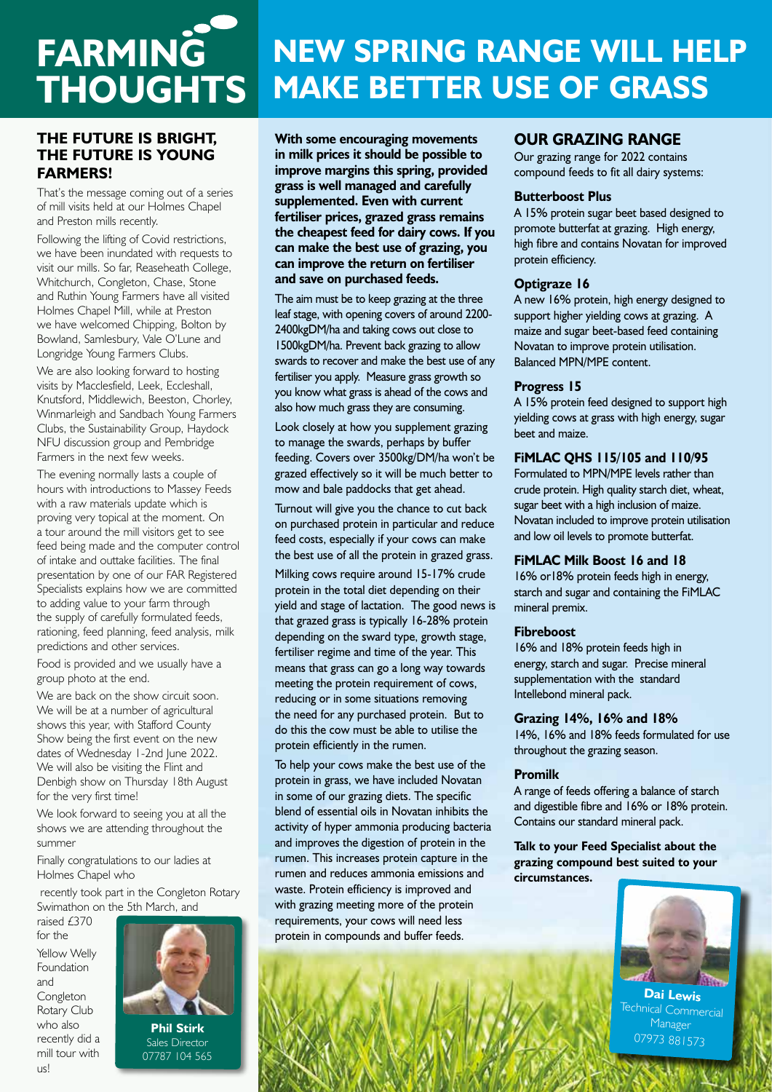# **FARMING THOUGHTS**

#### **THE FUTURE IS BRIGHT, THE FUTURE IS YOUNG FARMERS!**

That's the message coming out of a series of mill visits held at our Holmes Chapel and Preston mills recently.

Following the lifting of Covid restrictions, we have been inundated with requests to visit our mills. So far, Reaseheath College, Whitchurch, Congleton, Chase, Stone and Ruthin Young Farmers have all visited Holmes Chapel Mill, while at Preston we have welcomed Chipping, Bolton by Bowland, Samlesbury, Vale O'Lune and Longridge Young Farmers Clubs.

We are also looking forward to hosting visits by Macclesfield, Leek, Eccleshall, Knutsford, Middlewich, Beeston, Chorley, Winmarleigh and Sandbach Young Farmers Clubs, the Sustainability Group, Haydock NFU discussion group and Pembridge Farmers in the next few weeks.

The evening normally lasts a couple of hours with introductions to Massey Feeds with a raw materials update which is proving very topical at the moment. On a tour around the mill visitors get to see feed being made and the computer control of intake and outtake facilities. The final presentation by one of our FAR Registered Specialists explains how we are committed to adding value to your farm through the supply of carefully formulated feeds, rationing, feed planning, feed analysis, milk predictions and other services.

Food is provided and we usually have a group photo at the end.

We are back on the show circuit soon. We will be at a number of agricultural shows this year, with Stafford County Show being the first event on the new dates of Wednesday 1-2nd June 2022. We will also be visiting the Flint and Denbigh show on Thursday 18th August for the very first time!

We look forward to seeing you at all the shows we are attending throughout the summer

Finally congratulations to our ladies at Holmes Chapel who

 recently took part in the Congleton Rotary Swimathon on the 5th March, and

raised £370 for the Yellow Welly Foundation and Congleton Rotary Club who also recently did a mill tour with us!



**Phil Stirk** Sales Director 07787 104 565

### **NEW SPRING RANGE WILL HELP MAKE BETTER USE OF GRASS**

**With some encouraging movements in milk prices it should be possible to improve margins this spring, provided grass is well managed and carefully supplemented. Even with current fertiliser prices, grazed grass remains the cheapest feed for dairy cows. If you can make the best use of grazing, you can improve the return on fertiliser and save on purchased feeds.** 

The aim must be to keep grazing at the three leaf stage, with opening covers of around 2200- 2400kgDM/ha and taking cows out close to 1500kgDM/ha. Prevent back grazing to allow swards to recover and make the best use of any fertiliser you apply. Measure grass growth so you know what grass is ahead of the cows and also how much grass they are consuming.

Look closely at how you supplement grazing to manage the swards, perhaps by buffer feeding. Covers over 3500kg/DM/ha won't be grazed effectively so it will be much better to mow and bale paddocks that get ahead.

Turnout will give you the chance to cut back on purchased protein in particular and reduce feed costs, especially if your cows can make the best use of all the protein in grazed grass.

Milking cows require around 15-17% crude protein in the total diet depending on their yield and stage of lactation. The good news is that grazed grass is typically 16-28% protein depending on the sward type, growth stage, fertiliser regime and time of the year. This means that grass can go a long way towards meeting the protein requirement of cows, reducing or in some situations removing the need for any purchased protein. But to do this the cow must be able to utilise the protein efficiently in the rumen.

To help your cows make the best use of the protein in grass, we have included Novatan in some of our grazing diets. The specific blend of essential oils in Novatan inhibits the activity of hyper ammonia producing bacteria and improves the digestion of protein in the rumen. This increases protein capture in the rumen and reduces ammonia emissions and waste. Protein efficiency is improved and with grazing meeting more of the protein requirements, your cows will need less protein in compounds and buffer feeds.

#### **OUR GRAZING RANGE**

Our grazing range for 2022 contains compound feeds to fit all dairy systems:

#### **Butterboost Plus**

A 15% protein sugar beet based designed to promote butterfat at grazing. High energy, high fibre and contains Novatan for improved protein efficiency.

#### **Optigraze 16**

A new 16% protein, high energy designed to support higher yielding cows at grazing. A maize and sugar beet-based feed containing Novatan to improve protein utilisation. Balanced MPN/MPE content.

#### **Progress 15**

A 15% protein feed designed to support high yielding cows at grass with high energy, sugar beet and maize.

#### **FiMLAC QHS 115/105 and 110/95**

Formulated to MPN/MPE levels rather than crude protein. High quality starch diet, wheat, sugar beet with a high inclusion of maize. Novatan included to improve protein utilisation and low oil levels to promote butterfat.

#### **FiMLAC Milk Boost 16 and 18**

16% or18% protein feeds high in energy, starch and sugar and containing the FiMLAC mineral premix.

#### **Fibreboost**

16% and 18% protein feeds high in energy, starch and sugar. Precise mineral supplementation with the standard Intellebond mineral pack.

#### **Grazing 14%, 16% and 18%**

14%, 16% and 18% feeds formulated for use throughout the grazing season.

#### **Promilk**

A range of feeds offering a balance of starch and digestible fibre and 16% or 18% protein. Contains our standard mineral pack.

**Talk to your Feed Specialist about the grazing compound best suited to your circumstances.**



**Dai Lewis** Technical Commercial Manager 07973 881573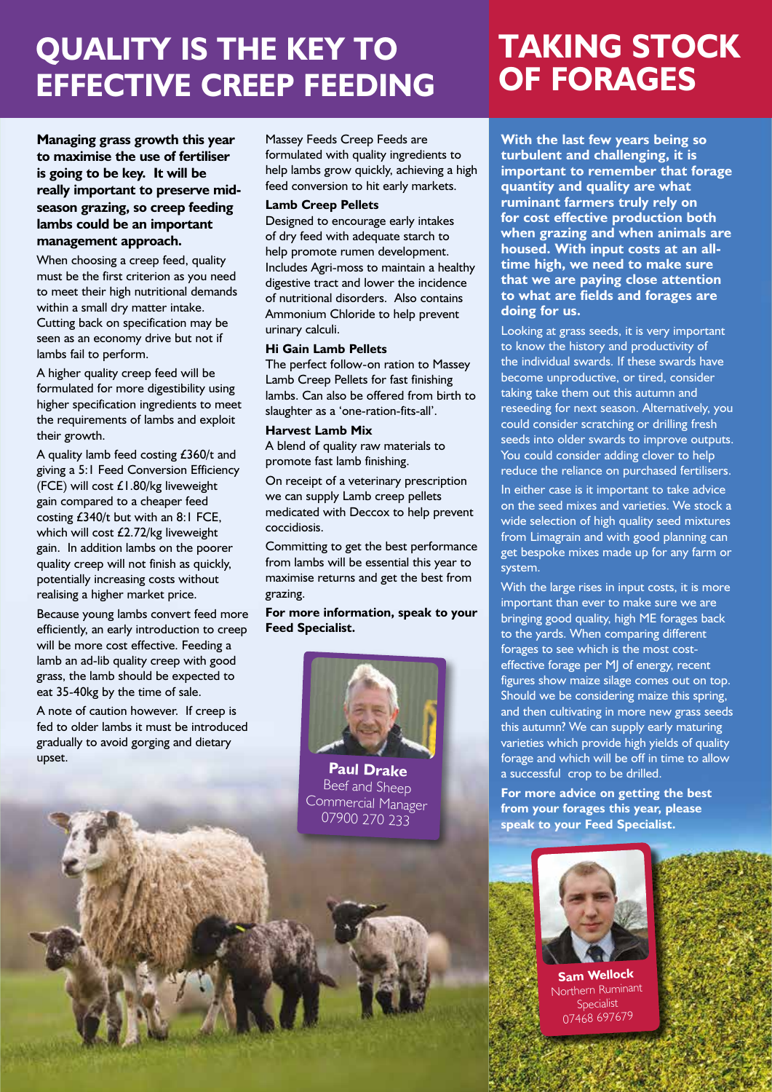### **QUALITY IS THE KEY TO EFFECTIVE CREEP FEEDING**

**Managing grass growth this year to maximise the use of fertiliser is going to be key. It will be really important to preserve midseason grazing, so creep feeding lambs could be an important management approach.**

When choosing a creep feed, quality must be the first criterion as you need to meet their high nutritional demands within a small dry matter intake. Cutting back on specification may be seen as an economy drive but not if lambs fail to perform.

A higher quality creep feed will be formulated for more digestibility using higher specification ingredients to meet the requirements of lambs and exploit their growth.

A quality lamb feed costing £360/t and giving a 5:1 Feed Conversion Efficiency (FCE) will cost £1.80/kg liveweight gain compared to a cheaper feed costing £340/t but with an 8:1 FCE, which will cost £2.72/kg liveweight gain. In addition lambs on the poorer quality creep will not finish as quickly, potentially increasing costs without realising a higher market price.

Because young lambs convert feed more efficiently, an early introduction to creep will be more cost effective. Feeding a lamb an ad-lib quality creep with good grass, the lamb should be expected to eat 35-40kg by the time of sale.

A note of caution however. If creep is fed to older lambs it must be introduced gradually to avoid gorging and dietary upset.

Massey Feeds Creep Feeds are formulated with quality ingredients to help lambs grow quickly, achieving a high feed conversion to hit early markets.

#### **Lamb Creep Pellets**

Designed to encourage early intakes of dry feed with adequate starch to help promote rumen development. Includes Agri-moss to maintain a healthy digestive tract and lower the incidence of nutritional disorders. Also contains Ammonium Chloride to help prevent urinary calculi.

#### **Hi Gain Lamb Pellets**

The perfect follow-on ration to Massey Lamb Creep Pellets for fast finishing lambs. Can also be offered from birth to slaughter as a 'one-ration-fits-all'.

#### **Harvest Lamb Mix**

A blend of quality raw materials to promote fast lamb finishing.

On receipt of a veterinary prescription we can supply Lamb creep pellets medicated with Deccox to help prevent coccidiosis.

Committing to get the best performance from lambs will be essential this year to maximise returns and get the best from grazing.

**For more information, speak to your Feed Specialist.**



**Paul Drake** Beef and Sheep Commercial Manager 07900 270 233

### **TAKING STOCK OF FORAGES**

**With the last few years being so turbulent and challenging, it is important to remember that forage quantity and quality are what ruminant farmers truly rely on for cost effective production both when grazing and when animals are housed. With input costs at an alltime high, we need to make sure that we are paying close attention to what are fields and forages are doing for us.** 

Looking at grass seeds, it is very important to know the history and productivity of the individual swards. If these swards have become unproductive, or tired, consider taking take them out this autumn and reseeding for next season. Alternatively, you could consider scratching or drilling fresh seeds into older swards to improve outputs. You could consider adding clover to help reduce the reliance on purchased fertilisers.

In either case is it important to take advice on the seed mixes and varieties. We stock a wide selection of high quality seed mixtures from Limagrain and with good planning can get bespoke mixes made up for any farm or system.

With the large rises in input costs, it is more important than ever to make sure we are bringing good quality, high ME forages back to the yards. When comparing different forages to see which is the most costeffective forage per MJ of energy, recent figures show maize silage comes out on top. Should we be considering maize this spring, and then cultivating in more new grass seeds this autumn? We can supply early maturing varieties which provide high yields of quality forage and which will be off in time to allow a successful crop to be drilled.

**For more advice on getting the best from your forages this year, please speak to your Feed Specialist.** 



**Sam Wellock** Northern Ruminant **Specialist** 07468 697679